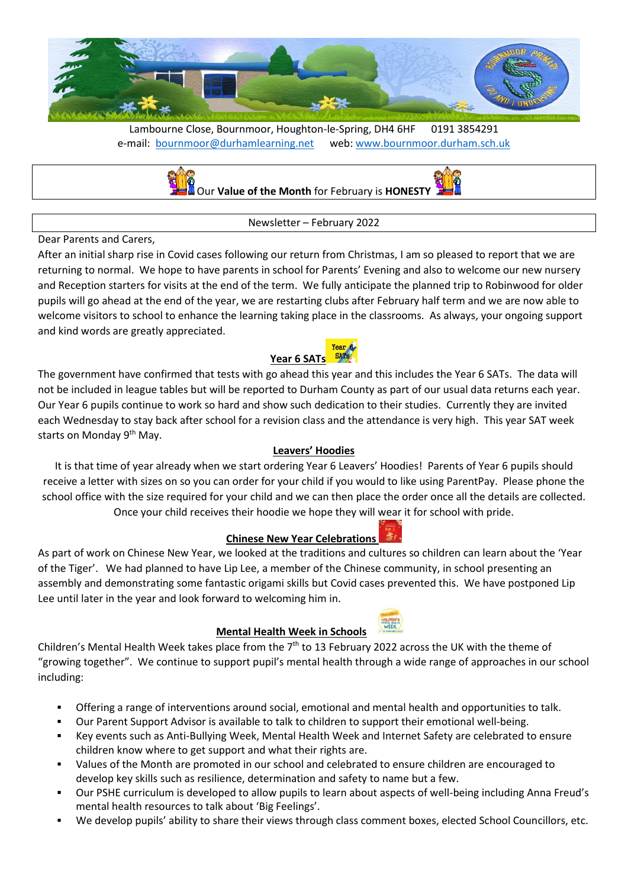

Lambourne Close, Bournmoor, Houghton-le-Spring, DH4 6HF 0191 3854291 e-mail: [bournmoor@durhamlearning.net](mailto:bournmoor@durhamlearning.net) web: [www.bournmoor.durham.sch.uk](http://www.bournmoor.durham.sch.uk/)



Newsletter – February 2022

### Dear Parents and Carers,

After an initial sharp rise in Covid cases following our return from Christmas, I am so pleased to report that we are returning to normal. We hope to have parents in school for Parents' Evening and also to welcome our new nursery and Reception starters for visits at the end of the term. We fully anticipate the planned trip to Robinwood for older pupils will go ahead at the end of the year, we are restarting clubs after February half term and we are now able to welcome visitors to school to enhance the learning taking place in the classrooms. As always, your ongoing support and kind words are greatly appreciated.

#### Year 6 **Year 6 SAT[s](https://www.google.co.uk/url?sa=i&rct=j&q=&esrc=s&source=images&cd=&ved=2ahUKEwjmt-PhvsTmAhVDJhoKHZP4APAQjRx6BAgBEAQ&url=https%3A%2F%2Fchandlersridge.org.uk%2Fyear-5-6-2%2Fy6-sat-resources%2F&psig=AOvVaw1nmScAj7IlD0YGHMBPWAQs&ust=1576940358807483)**

The government have confirmed that tests with go ahead this year and this includes the Year 6 SATs. The data will not be included in league tables but will be reported to Durham County as part of our usual data returns each year. Our Year 6 pupils continue to work so hard and show such dedication to their studies. Currently they are invited each Wednesday to stay back after school for a revision class and the attendance is very high. This year SAT week starts on Monday 9<sup>th</sup> May.

# **Leavers' Hoodies**

It is that time of year already when we start ordering Year 6 Leavers' Hoodies! Parents of Year 6 pupils should receive a letter with sizes on so you can order for your child if you would to like using ParentPay. Please phone the school office with the size required for your child and we can then place the order once all the details are collected. Once your child receives their hoodie we hope they will wear it for school with pride.

### **Chinese New Year Celebrations**

As part of work on Chinese New Year, we looked at the traditions and cultures so children can learn about the 'Year of the Tiger'. We had planned to have Lip Lee, a member of the Chinese community, in school presenting an assembly and demonstrating some fantastic origami skills but Covid cases prevented this. We have postponed Lip Lee until later in the year and look forward to welcoming him in.

# **Mental Health Week in Schools**

Children's Mental Health Week takes place from the 7<sup>th</sup> to 13 February 2022 across the UK with the theme of "growing together". We continue to support pupil's mental health through a wide range of approaches in our school including:

- Offering a range of interventions around social, emotional and mental health and opportunities to talk.
- Our Parent Support Advisor is available to talk to children to support their emotional well-being.
- Key events such as Anti-Bullying Week, Mental Health Week and Internet Safety are celebrated to ensure children know where to get support and what their rights are.
- Values of the Month are promoted in our school and celebrated to ensure children are encouraged to develop key skills such as resilience, determination and safety to name but a few.
- Our PSHE curriculum is developed to allow pupils to learn about aspects of well-being including Anna Freud's mental health resources to talk about 'Big Feelings'.
- We develop pupils' ability to share their views through class comment boxes, elected School Councillors, etc.